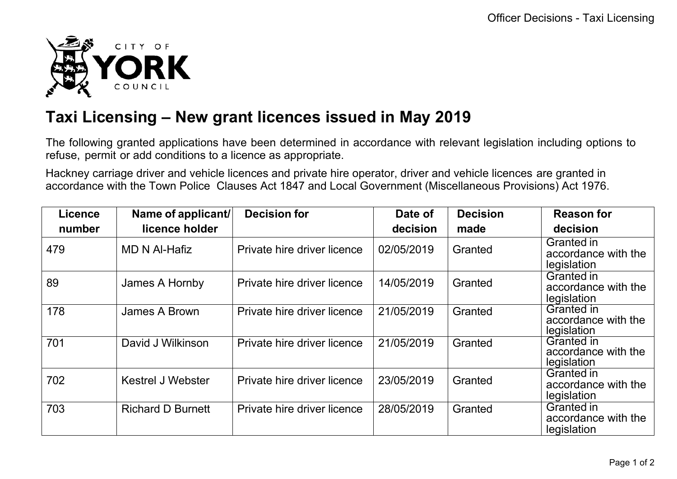

## **Taxi Licensing – New grant licences issued in May 2019**

The following granted applications have been determined in accordance with relevant legislation including options to refuse, permit or add conditions to a licence as appropriate.

Hackney carriage driver and vehicle licences and private hire operator, driver and vehicle licences are granted in accordance with the Town Police Clauses Act 1847 and Local Government (Miscellaneous Provisions) Act 1976.

| <b>Licence</b> | Name of applicant/       | <b>Decision for</b>         | Date of    | <b>Decision</b> | <b>Reason for</b>                                       |
|----------------|--------------------------|-----------------------------|------------|-----------------|---------------------------------------------------------|
| number         | licence holder           |                             | decision   | made            | decision                                                |
| 479            | <b>MD N Al-Hafiz</b>     | Private hire driver licence | 02/05/2019 | Granted         | Granted in<br>accordance with the<br>legislation        |
| 89             | James A Hornby           | Private hire driver licence | 14/05/2019 | Granted         | Granted in<br>accordance with the<br>legislation        |
| 178            | James A Brown            | Private hire driver licence | 21/05/2019 | Granted         | <b>Granted in</b><br>accordance with the<br>legislation |
| 701            | David J Wilkinson        | Private hire driver licence | 21/05/2019 | Granted         | <b>Granted in</b><br>accordance with the<br>legislation |
| 702            | <b>Kestrel J Webster</b> | Private hire driver licence | 23/05/2019 | Granted         | Granted in<br>accordance with the<br>legislation        |
| 703            | <b>Richard D Burnett</b> | Private hire driver licence | 28/05/2019 | Granted         | <b>Granted in</b><br>accordance with the<br>legislation |